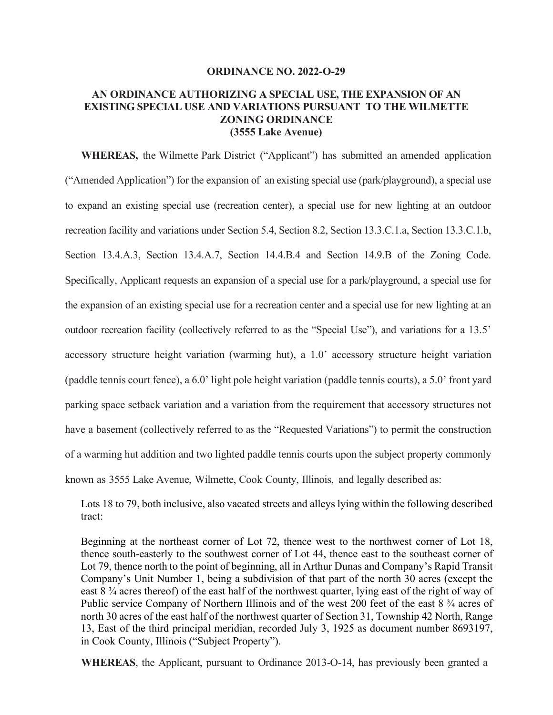#### **ORDINANCE NO. 2022-O-29**

#### **AN ORDINANCE AUTHORIZING A SPECIAL USE, THE EXPANSION OF AN EXISTING SPECIAL USE AND VARIATIONS PURSUANT TO THE WILMETTE ZONING ORDINANCE (3555 Lake Avenue)**

**WHEREAS,** the Wilmette Park District ("Applicant") has submitted an amended application ("Amended Application") for the expansion of an existing special use (park/playground), a special use to expand an existing special use (recreation center), a special use for new lighting at an outdoor recreation facility and variations under Section 5.4, Section 8.2, Section 13.3.C.1.a, Section 13.3.C.1.b, Section 13.4.A.3, Section 13.4.A.7, Section 14.4.B.4 and Section 14.9.B of the Zoning Code. Specifically, Applicant requests an expansion of a special use for a park/playground, a special use for the expansion of an existing special use for a recreation center and a special use for new lighting at an outdoor recreation facility (collectively referred to as the "Special Use"), and variations for a 13.5' accessory structure height variation (warming hut), a 1.0' accessory structure height variation (paddle tennis court fence), a 6.0' light pole height variation (paddle tennis courts), a 5.0' front yard parking space setback variation and a variation from the requirement that accessory structures not have a basement (collectively referred to as the "Requested Variations") to permit the construction of a warming hut addition and two lighted paddle tennis courts upon the subject property commonly known as 3555 Lake Avenue, Wilmette, Cook County, Illinois, and legally described as:

Lots 18 to 79, both inclusive, also vacated streets and alleys lying within the following described tract:

Beginning at the northeast corner of Lot 72, thence west to the northwest corner of Lot 18, thence south-easterly to the southwest corner of Lot 44, thence east to the southeast corner of Lot 79, thence north to the point of beginning, all in Arthur Dunas and Company's Rapid Transit Company's Unit Number 1, being a subdivision of that part of the north 30 acres (except the east 8 ¾ acres thereof) of the east half of the northwest quarter, lying east of the right of way of Public service Company of Northern Illinois and of the west 200 feet of the east 8  $\frac{3}{4}$  acres of north 30 acres of the east half of the northwest quarter of Section 31, Township 42 North, Range 13, East of the third principal meridian, recorded July 3, 1925 as document number 8693197, in Cook County, Illinois ("Subject Property").

**WHEREAS**, the Applicant, pursuant to Ordinance 2013-O-14, has previously been granted a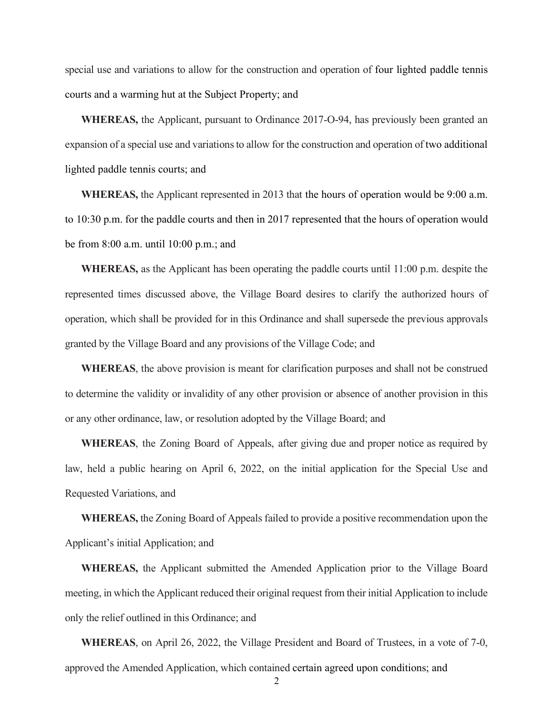special use and variations to allow for the construction and operation of four lighted paddle tennis courts and a warming hut at the Subject Property; and

**WHEREAS,** the Applicant, pursuant to Ordinance 2017-O-94, has previously been granted an expansion of a special use and variations to allow for the construction and operation of two additional lighted paddle tennis courts; and

**WHEREAS,** the Applicant represented in 2013 that the hours of operation would be 9:00 a.m. to 10:30 p.m. for the paddle courts and then in 2017 represented that the hours of operation would be from 8:00 a.m. until 10:00 p.m.; and

**WHEREAS,** as the Applicant has been operating the paddle courts until 11:00 p.m. despite the represented times discussed above, the Village Board desires to clarify the authorized hours of operation, which shall be provided for in this Ordinance and shall supersede the previous approvals granted by the Village Board and any provisions of the Village Code; and

**WHEREAS**, the above provision is meant for clarification purposes and shall not be construed to determine the validity or invalidity of any other provision or absence of another provision in this or any other ordinance, law, or resolution adopted by the Village Board; and

**WHEREAS**, the Zoning Board of Appeals, after giving due and proper notice as required by law, held a public hearing on April 6, 2022, on the initial application for the Special Use and Requested Variations, and

**WHEREAS,** the Zoning Board of Appeals failed to provide a positive recommendation upon the Applicant's initial Application; and

**WHEREAS,** the Applicant submitted the Amended Application prior to the Village Board meeting, in which the Applicant reduced their original request from their initial Application to include only the relief outlined in this Ordinance; and

**WHEREAS**, on April 26, 2022, the Village President and Board of Trustees, in a vote of 7-0, approved the Amended Application, which contained certain agreed upon conditions; and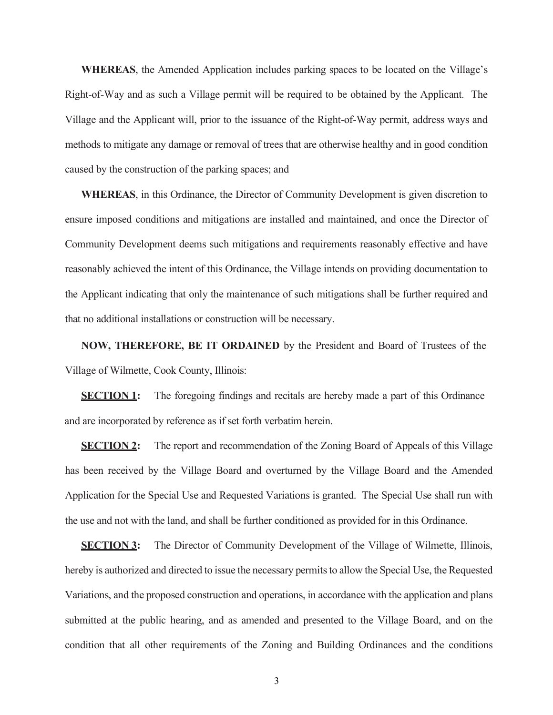**WHEREAS**, the Amended Application includes parking spaces to be located on the Village's Right-of-Way and as such a Village permit will be required to be obtained by the Applicant. The Village and the Applicant will, prior to the issuance of the Right-of-Way permit, address ways and methods to mitigate any damage or removal of trees that are otherwise healthy and in good condition caused by the construction of the parking spaces; and

**WHEREAS**, in this Ordinance, the Director of Community Development is given discretion to ensure imposed conditions and mitigations are installed and maintained, and once the Director of Community Development deems such mitigations and requirements reasonably effective and have reasonably achieved the intent of this Ordinance, the Village intends on providing documentation to the Applicant indicating that only the maintenance of such mitigations shall be further required and that no additional installations or construction will be necessary.

**NOW, THEREFORE, BE IT ORDAINED** by the President and Board of Trustees of the Village of Wilmette, Cook County, Illinois:

**SECTION 1:** The foregoing findings and recitals are hereby made a part of this Ordinance and are incorporated by reference as if set forth verbatim herein.

**SECTION 2:** The report and recommendation of the Zoning Board of Appeals of this Village has been received by the Village Board and overturned by the Village Board and the Amended Application for the Special Use and Requested Variations is granted. The Special Use shall run with the use and not with the land, and shall be further conditioned as provided for in this Ordinance.

**SECTION 3:** The Director of Community Development of the Village of Wilmette, Illinois, hereby is authorized and directed to issue the necessary permits to allow the Special Use, the Requested Variations, and the proposed construction and operations, in accordance with the application and plans submitted at the public hearing, and as amended and presented to the Village Board, and on the condition that all other requirements of the Zoning and Building Ordinances and the conditions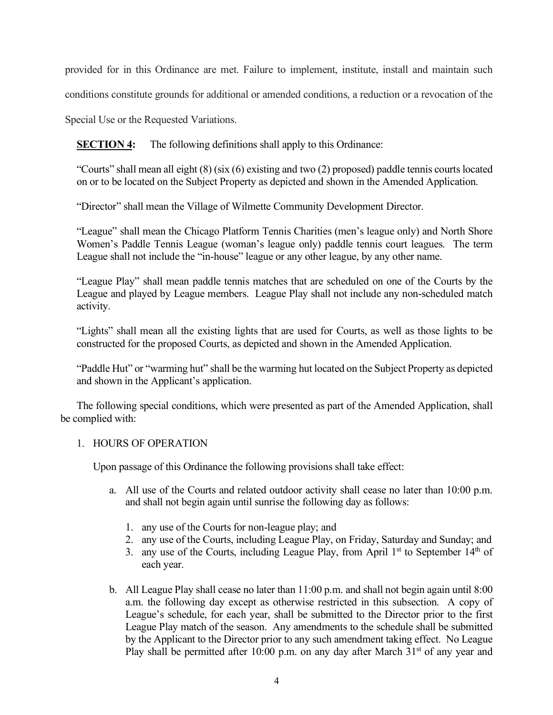provided for in this Ordinance are met. Failure to implement, institute, install and maintain such

conditions constitute grounds for additional or amended conditions, a reduction or a revocation of the

Special Use or the Requested Variations.

**SECTION 4:** The following definitions shall apply to this Ordinance:

"Courts" shall mean all eight (8) (six (6) existing and two (2) proposed) paddle tennis courts located on or to be located on the Subject Property as depicted and shown in the Amended Application.

"Director" shall mean the Village of Wilmette Community Development Director.

"League" shall mean the Chicago Platform Tennis Charities (men's league only) and North Shore Women's Paddle Tennis League (woman's league only) paddle tennis court leagues. The term League shall not include the "in-house" league or any other league, by any other name.

"League Play" shall mean paddle tennis matches that are scheduled on one of the Courts by the League and played by League members. League Play shall not include any non-scheduled match activity.

"Lights" shall mean all the existing lights that are used for Courts, as well as those lights to be constructed for the proposed Courts, as depicted and shown in the Amended Application.

"Paddle Hut" or "warming hut" shall be the warming hut located on the Subject Property as depicted and shown in the Applicant's application.

The following special conditions, which were presented as part of the Amended Application, shall be complied with:

#### 1. HOURS OF OPERATION

Upon passage of this Ordinance the following provisions shall take effect:

- a. All use of the Courts and related outdoor activity shall cease no later than 10:00 p.m. and shall not begin again until sunrise the following day as follows:
	- 1. any use of the Courts for non-league play; and
	- 2. any use of the Courts, including League Play, on Friday, Saturday and Sunday; and
	- 3. any use of the Courts, including League Play, from April  $1<sup>st</sup>$  to September  $14<sup>th</sup>$  of each year.
- b. All League Play shall cease no later than 11:00 p.m. and shall not begin again until 8:00 a.m. the following day except as otherwise restricted in this subsection. A copy of League's schedule, for each year, shall be submitted to the Director prior to the first League Play match of the season. Any amendments to the schedule shall be submitted by the Applicant to the Director prior to any such amendment taking effect. No League Play shall be permitted after 10:00 p.m. on any day after March 31<sup>st</sup> of any year and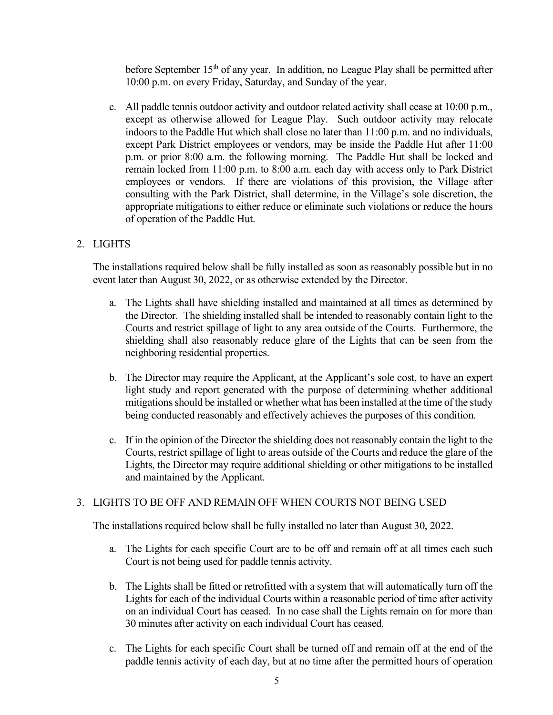before September 15<sup>th</sup> of any year. In addition, no League Play shall be permitted after 10:00 p.m. on every Friday, Saturday, and Sunday of the year.

c. All paddle tennis outdoor activity and outdoor related activity shall cease at 10:00 p.m., except as otherwise allowed for League Play. Such outdoor activity may relocate indoors to the Paddle Hut which shall close no later than 11:00 p.m. and no individuals, except Park District employees or vendors, may be inside the Paddle Hut after 11:00 p.m. or prior 8:00 a.m. the following morning. The Paddle Hut shall be locked and remain locked from 11:00 p.m. to 8:00 a.m. each day with access only to Park District employees or vendors. If there are violations of this provision, the Village after consulting with the Park District, shall determine, in the Village's sole discretion, the appropriate mitigations to either reduce or eliminate such violations or reduce the hours of operation of the Paddle Hut.

# 2. LIGHTS

The installations required below shall be fully installed as soon as reasonably possible but in no event later than August 30, 2022, or as otherwise extended by the Director.

- a. The Lights shall have shielding installed and maintained at all times as determined by the Director. The shielding installed shall be intended to reasonably contain light to the Courts and restrict spillage of light to any area outside of the Courts. Furthermore, the shielding shall also reasonably reduce glare of the Lights that can be seen from the neighboring residential properties.
- b. The Director may require the Applicant, at the Applicant's sole cost, to have an expert light study and report generated with the purpose of determining whether additional mitigations should be installed or whether what has been installed at the time of the study being conducted reasonably and effectively achieves the purposes of this condition.
- c. If in the opinion of the Director the shielding does not reasonably contain the light to the Courts, restrict spillage of light to areas outside of the Courts and reduce the glare of the Lights, the Director may require additional shielding or other mitigations to be installed and maintained by the Applicant.

# 3. LIGHTS TO BE OFF AND REMAIN OFF WHEN COURTS NOT BEING USED

The installations required below shall be fully installed no later than August 30, 2022.

- a. The Lights for each specific Court are to be off and remain off at all times each such Court is not being used for paddle tennis activity.
- b. The Lights shall be fitted or retrofitted with a system that will automatically turn off the Lights for each of the individual Courts within a reasonable period of time after activity on an individual Court has ceased. In no case shall the Lights remain on for more than 30 minutes after activity on each individual Court has ceased.
- c. The Lights for each specific Court shall be turned off and remain off at the end of the paddle tennis activity of each day, but at no time after the permitted hours of operation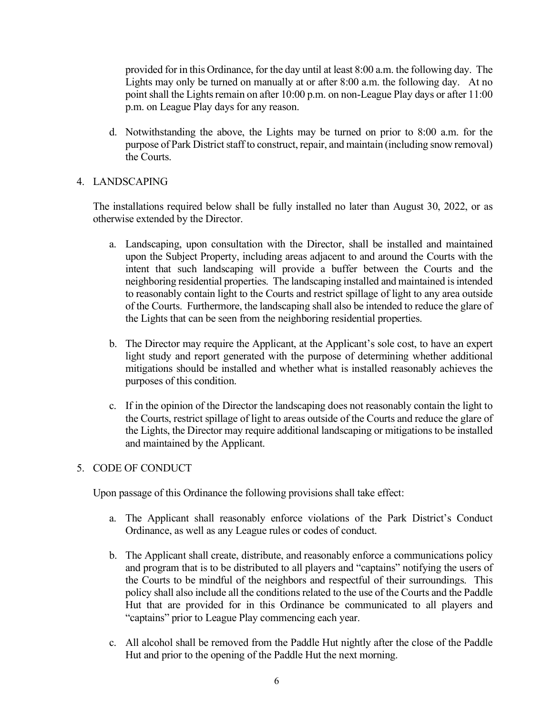provided for in this Ordinance, for the day until at least 8:00 a.m. the following day. The Lights may only be turned on manually at or after 8:00 a.m. the following day. At no point shall the Lights remain on after 10:00 p.m. on non-League Play days or after 11:00 p.m. on League Play days for any reason.

d. Notwithstanding the above, the Lights may be turned on prior to 8:00 a.m. for the purpose of Park District staff to construct, repair, and maintain (including snow removal) the Courts.

# 4. LANDSCAPING

The installations required below shall be fully installed no later than August 30, 2022, or as otherwise extended by the Director.

- a. Landscaping, upon consultation with the Director, shall be installed and maintained upon the Subject Property, including areas adjacent to and around the Courts with the intent that such landscaping will provide a buffer between the Courts and the neighboring residential properties. The landscaping installed and maintained is intended to reasonably contain light to the Courts and restrict spillage of light to any area outside of the Courts. Furthermore, the landscaping shall also be intended to reduce the glare of the Lights that can be seen from the neighboring residential properties.
- b. The Director may require the Applicant, at the Applicant's sole cost, to have an expert light study and report generated with the purpose of determining whether additional mitigations should be installed and whether what is installed reasonably achieves the purposes of this condition.
- c. If in the opinion of the Director the landscaping does not reasonably contain the light to the Courts, restrict spillage of light to areas outside of the Courts and reduce the glare of the Lights, the Director may require additional landscaping or mitigations to be installed and maintained by the Applicant.

# 5. CODE OF CONDUCT

Upon passage of this Ordinance the following provisions shall take effect:

- a. The Applicant shall reasonably enforce violations of the Park District's Conduct Ordinance, as well as any League rules or codes of conduct.
- b. The Applicant shall create, distribute, and reasonably enforce a communications policy and program that is to be distributed to all players and "captains" notifying the users of the Courts to be mindful of the neighbors and respectful of their surroundings. This policy shall also include all the conditionsrelated to the use of the Courts and the Paddle Hut that are provided for in this Ordinance be communicated to all players and "captains" prior to League Play commencing each year.
- c. All alcohol shall be removed from the Paddle Hut nightly after the close of the Paddle Hut and prior to the opening of the Paddle Hut the next morning.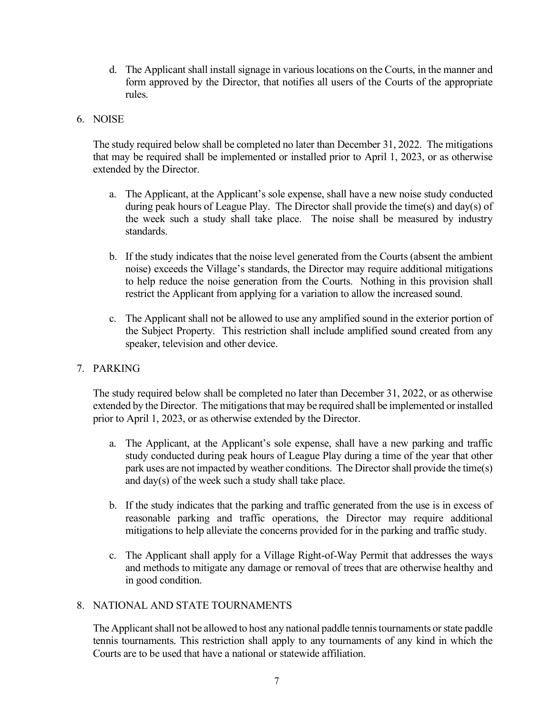d. The Applicant shall install signage in various locations on the Courts, in the manner and form approved by the Director, that notifies all users of the Courts of the appropriate rules.

#### 6. NOISE

The study required below shall be completed no later than December 31, 2022. The mitigations that may be required shall be implemented or installed prior to April 1, 2023, or as otherwise extended by the Director.

- a. The Applicant, at the Applicant's sole expense, shall have a new noise study conducted during peak hours of League Play. The Director shall provide the time(s) and day(s) of the week such a study shall take place. The noise shall be measured by industry standards.
- b. If the study indicates that the noise level generated from the Courts (absent the ambient noise) exceeds the Village's standards, the Director may require additional mitigations to help reduce the noise generation from the Courts. Nothing in this provision shall restrict the Applicant from applying for a variation to allow the increased sound.
- c. The Applicant shall not be allowed to use any amplified sound in the exterior portion of the Subject Property. This restriction shall include amplified sound created from any speaker, television and other device.

# 7. PARKING

The study required below shall be completed no later than December 31, 2022, or as otherwise extended by the Director. The mitigations that may be required shall be implemented or installed prior to April 1, 2023, or as otherwise extended by the Director.

- a. The Applicant, at the Applicant's sole expense, shall have a new parking and traffic study conducted during peak hours of League Play during a time of the year that other park uses are not impacted by weather conditions. The Director shall provide the time(s) and day(s) of the week such a study shall take place.
- b. If the study indicates that the parking and traffic generated from the use is in excess of reasonable parking and traffic operations, the Director may require additional mitigations to help alleviate the concerns provided for in the parking and traffic study.
- c. The Applicant shall apply for a Village Right-of-Way Permit that addresses the ways and methods to mitigate any damage or removal of trees that are otherwise healthy and in good condition.

# 8. NATIONAL AND STATE TOURNAMENTS

The Applicant shall not be allowed to host any national paddle tennistournaments or state paddle tennis tournaments. This restriction shall apply to any tournaments of any kind in which the Courts are to be used that have a national or statewide affiliation.